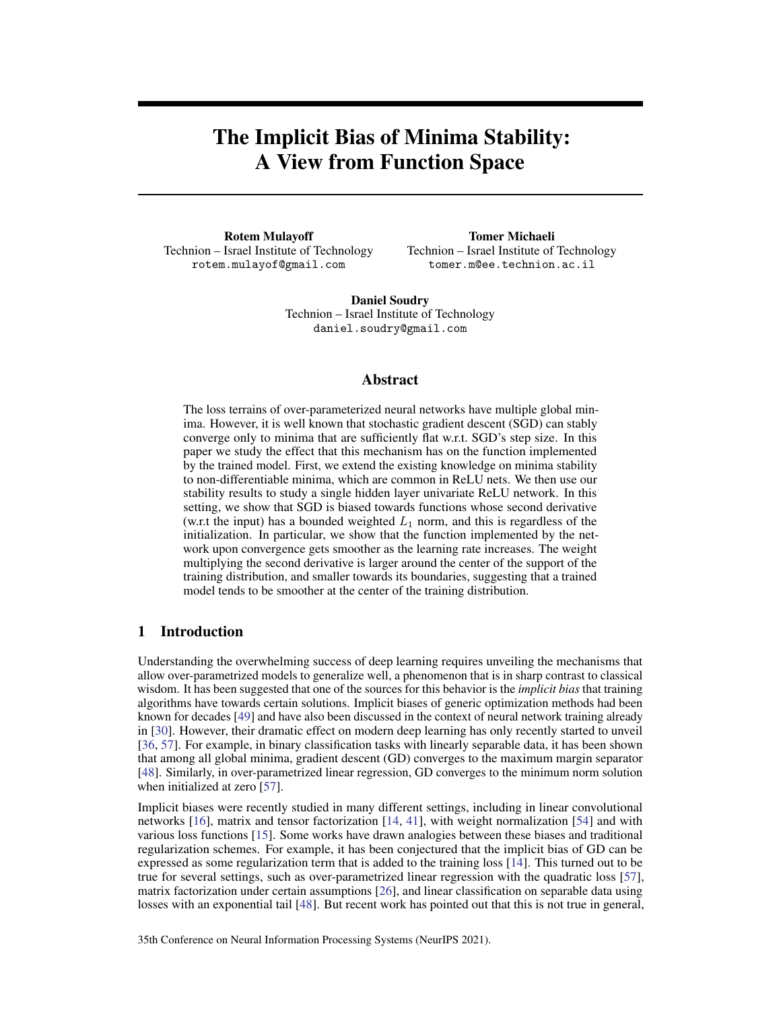# The Implicit Bias of Minima Stability: A View from Function Space

Rotem Mulayoff Technion – Israel Institute of Technology rotem.mulayof@gmail.com

Tomer Michaeli Technion – Israel Institute of Technology tomer.m@ee.technion.ac.il

Daniel Soudry Technion – Israel Institute of Technology daniel.soudry@gmail.com

## Abstract

The loss terrains of over-parameterized neural networks have multiple global minima. However, it is well known that stochastic gradient descent (SGD) can stably converge only to minima that are sufficiently flat w.r.t. SGD's step size. In this paper we study the effect that this mechanism has on the function implemented by the trained model. First, we extend the existing knowledge on minima stability to non-differentiable minima, which are common in ReLU nets. We then use our stability results to study a single hidden layer univariate ReLU network. In this setting, we show that SGD is biased towards functions whose second derivative (w.r.t the input) has a bounded weighted  $L_1$  norm, and this is regardless of the initialization. In particular, we show that the function implemented by the network upon convergence gets smoother as the learning rate increases. The weight multiplying the second derivative is larger around the center of the support of the training distribution, and smaller towards its boundaries, suggesting that a trained model tends to be smoother at the center of the training distribution.

# <span id="page-0-0"></span>1 Introduction

Understanding the overwhelming success of deep learning requires unveiling the mechanisms that allow over-parametrized models to generalize well, a phenomenon that is in sharp contrast to classical wisdom. It has been suggested that one of the sources for this behavior is the *implicit bias* that training algorithms have towards certain solutions. Implicit biases of generic optimization methods had been known for decades [\[49\]](#page-12-0) and have also been discussed in the context of neural network training already in [\[30\]](#page-11-0). However, their dramatic effect on modern deep learning has only recently started to unveil [\[36,](#page-11-1) [57\]](#page-12-1). For example, in binary classification tasks with linearly separable data, it has been shown that among all global minima, gradient descent (GD) converges to the maximum margin separator [\[48\]](#page-12-2). Similarly, in over-parametrized linear regression, GD converges to the minimum norm solution when initialized at zero [\[57\]](#page-12-1).

Implicit biases were recently studied in many different settings, including in linear convolutional networks [\[16\]](#page-10-0), matrix and tensor factorization [\[14,](#page-10-1) [41\]](#page-12-3), with weight normalization [\[54\]](#page-12-4) and with various loss functions [\[15\]](#page-10-2). Some works have drawn analogies between these biases and traditional regularization schemes. For example, it has been conjectured that the implicit bias of GD can be expressed as some regularization term that is added to the training loss [\[14\]](#page-10-1). This turned out to be true for several settings, such as over-parametrized linear regression with the quadratic loss [\[57\]](#page-12-1), matrix factorization under certain assumptions [\[26\]](#page-11-2), and linear classification on separable data using losses with an exponential tail [\[48\]](#page-12-2). But recent work has pointed out that this is not true in general,

35th Conference on Neural Information Processing Systems (NeurIPS 2021).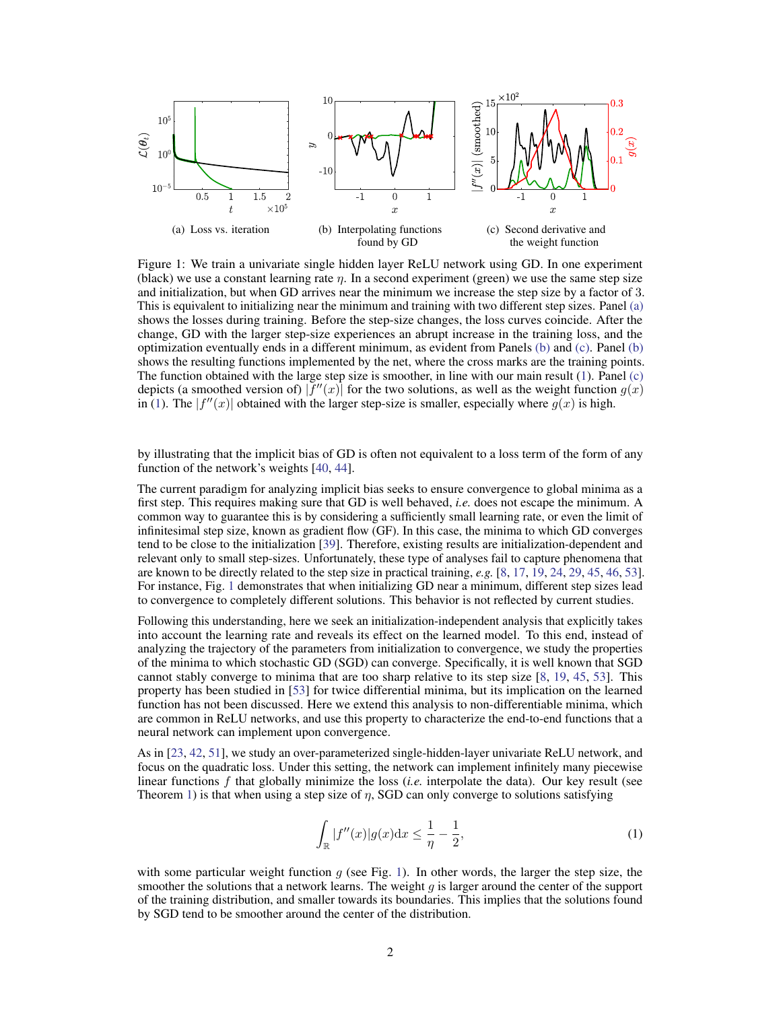<span id="page-1-0"></span>

Figure 1: We train a univariate single hidden layer ReLU network using GD. In one experiment (black) we use a constant learning rate  $\eta$ . In a second experiment (green) we use the same step size and initialization, but when GD arrives near the minimum we increase the step size by a factor of 3. This is equivalent to initializing near the minimum and training with two different step sizes. Panel [\(a\)](#page-1-0) shows the losses during training. Before the step-size changes, the loss curves coincide. After the change, GD with the larger step-size experiences an abrupt increase in the training loss, and the optimization eventually ends in a different minimum, as evident from Panels [\(b\)](#page-1-0) and [\(c\).](#page-1-0) Panel [\(b\)](#page-1-0) shows the resulting functions implemented by the net, where the cross marks are the training points. The function obtained with the large step size is smoother, in line with our main result [\(1\)](#page-1-1). Panel [\(c\)](#page-1-0) depicts (a smoothed version of)  $|f''(x)|$  for the two solutions, as well as the weight function  $g(x)$ in [\(1\)](#page-1-1). The  $|f''(x)|$  obtained with the larger step-size is smaller, especially where  $g(x)$  is high.

by illustrating that the implicit bias of GD is often not equivalent to a loss term of the form of any function of the network's weights [\[40,](#page-12-5) [44\]](#page-12-6).

The current paradigm for analyzing implicit bias seeks to ensure convergence to global minima as a first step. This requires making sure that GD is well behaved, *i.e.* does not escape the minimum. A common way to guarantee this is by considering a sufficiently small learning rate, or even the limit of infinitesimal step size, known as gradient flow (GF). In this case, the minima to which GD converges tend to be close to the initialization [\[39\]](#page-12-7). Therefore, existing results are initialization-dependent and relevant only to small step-sizes. Unfortunately, these type of analyses fail to capture phenomena that are known to be directly related to the step size in practical training, *e.g.* [\[8,](#page-10-3) [17,](#page-11-3) [19,](#page-11-4) [24,](#page-11-5) [29,](#page-11-6) [45,](#page-12-8) [46,](#page-12-9) [53\]](#page-12-10). For instance, Fig. [1](#page-1-0) demonstrates that when initializing GD near a minimum, different step sizes lead to convergence to completely different solutions. This behavior is not reflected by current studies.

Following this understanding, here we seek an initialization-independent analysis that explicitly takes into account the learning rate and reveals its effect on the learned model. To this end, instead of analyzing the trajectory of the parameters from initialization to convergence, we study the properties of the minima to which stochastic GD (SGD) can converge. Specifically, it is well known that SGD cannot stably converge to minima that are too sharp relative to its step size [\[8,](#page-10-3) [19,](#page-11-4) [45,](#page-12-8) [53\]](#page-12-10). This property has been studied in [\[53\]](#page-12-10) for twice differential minima, but its implication on the learned function has not been discussed. Here we extend this analysis to non-differentiable minima, which are common in ReLU networks, and use this property to characterize the end-to-end functions that a neural network can implement upon convergence.

As in [\[23,](#page-11-7) [42,](#page-12-11) [51\]](#page-12-12), we study an over-parameterized single-hidden-layer univariate ReLU network, and focus on the quadratic loss. Under this setting, the network can implement infinitely many piecewise linear functions f that globally minimize the loss (*i.e.* interpolate the data). Our key result (see Theorem [1\)](#page-5-0) is that when using a step size of  $\eta$ , SGD can only converge to solutions satisfying

<span id="page-1-1"></span>
$$
\int_{\mathbb{R}} |f''(x)| g(x) dx \le \frac{1}{\eta} - \frac{1}{2},\tag{1}
$$

with some particular weight function  $q$  (see Fig. [1\)](#page-1-0). In other words, the larger the step size, the smoother the solutions that a network learns. The weight  $q$  is larger around the center of the support of the training distribution, and smaller towards its boundaries. This implies that the solutions found by SGD tend to be smoother around the center of the distribution.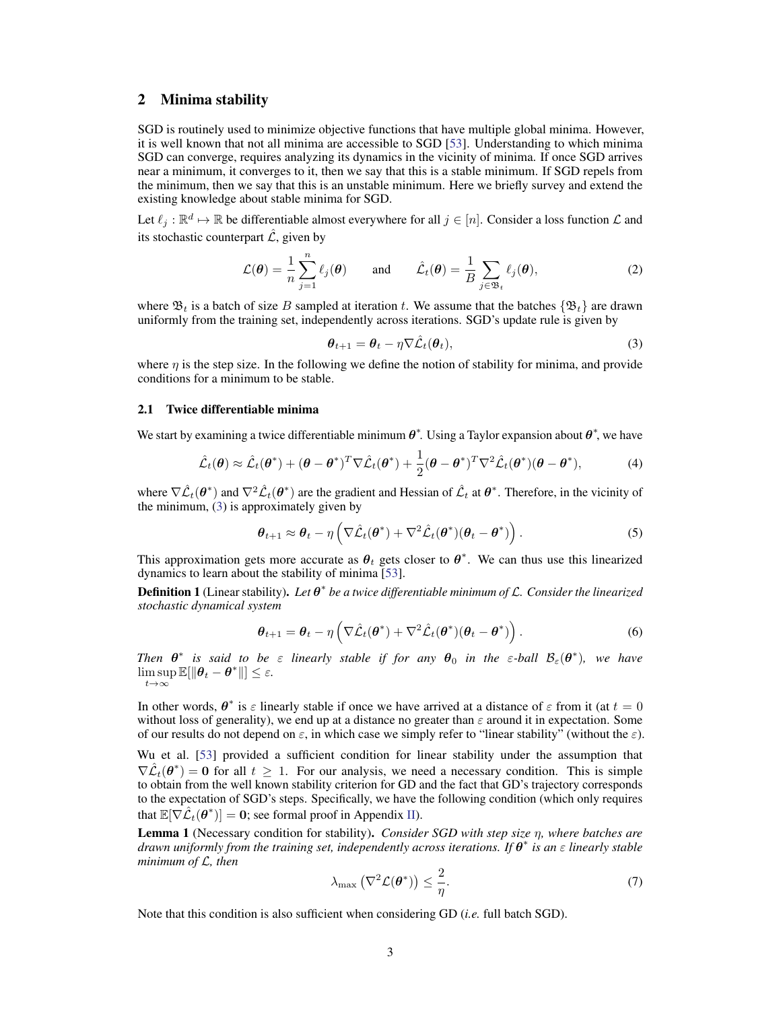## <span id="page-2-1"></span>2 Minima stability

SGD is routinely used to minimize objective functions that have multiple global minima. However, it is well known that not all minima are accessible to SGD [\[53\]](#page-12-10). Understanding to which minima SGD can converge, requires analyzing its dynamics in the vicinity of minima. If once SGD arrives near a minimum, it converges to it, then we say that this is a stable minimum. If SGD repels from the minimum, then we say that this is an unstable minimum. Here we briefly survey and extend the existing knowledge about stable minima for SGD.

Let  $\ell_j : \mathbb{R}^d \mapsto \mathbb{R}$  be differentiable almost everywhere for all  $j \in [n]$ . Consider a loss function  $\mathcal L$  and its stochastic counterpart  $\hat{\mathcal{L}}$ , given by

$$
\mathcal{L}(\boldsymbol{\theta}) = \frac{1}{n} \sum_{j=1}^{n} \ell_j(\boldsymbol{\theta}) \quad \text{and} \quad \hat{\mathcal{L}}_t(\boldsymbol{\theta}) = \frac{1}{B} \sum_{j \in \mathfrak{B}_t} \ell_j(\boldsymbol{\theta}), \tag{2}
$$

where  $\mathfrak{B}_t$  is a batch of size B sampled at iteration t. We assume that the batches  $\{\mathfrak{B}_t\}$  are drawn uniformly from the training set, independently across iterations. SGD's update rule is given by

<span id="page-2-0"></span>
$$
\boldsymbol{\theta}_{t+1} = \boldsymbol{\theta}_t - \eta \nabla \hat{\mathcal{L}}_t(\boldsymbol{\theta}_t),
$$
\n(3)

where  $\eta$  is the step size. In the following we define the notion of stability for minima, and provide conditions for a minimum to be stable.

#### 2.1 Twice differentiable minima

We start by examining a twice differentiable minimum  $\theta^*$ . Using a Taylor expansion about  $\theta^*$ , we have

$$
\hat{\mathcal{L}}_t(\boldsymbol{\theta}) \approx \hat{\mathcal{L}}_t(\boldsymbol{\theta}^*) + (\boldsymbol{\theta} - \boldsymbol{\theta}^*)^T \nabla \hat{\mathcal{L}}_t(\boldsymbol{\theta}^*) + \frac{1}{2} (\boldsymbol{\theta} - \boldsymbol{\theta}^*)^T \nabla^2 \hat{\mathcal{L}}_t(\boldsymbol{\theta}^*) (\boldsymbol{\theta} - \boldsymbol{\theta}^*),
$$
 (4)

where  $\nabla \hat{\mathcal{L}}_t(\theta^*)$  and  $\nabla^2 \hat{\mathcal{L}}_t(\theta^*)$  are the gradient and Hessian of  $\hat{\mathcal{L}}_t$  at  $\theta^*$ . Therefore, in the vicinity of the minimum, [\(3\)](#page-2-0) is approximately given by

$$
\boldsymbol{\theta}_{t+1} \approx \boldsymbol{\theta}_t - \eta \left( \nabla \hat{\mathcal{L}}_t(\boldsymbol{\theta}^*) + \nabla^2 \hat{\mathcal{L}}_t(\boldsymbol{\theta}^*) (\boldsymbol{\theta}_t - \boldsymbol{\theta}^*) \right). \tag{5}
$$

This approximation gets more accurate as  $\theta_t$  gets closer to  $\theta^*$ . We can thus use this linearized dynamics to learn about the stability of minima [\[53\]](#page-12-10).

<span id="page-2-2"></span>Definition 1 (Linear stability). *Let* θ ∗ *be a twice differentiable minimum of* L*. Consider the linearized stochastic dynamical system*

$$
\boldsymbol{\theta}_{t+1} = \boldsymbol{\theta}_t - \eta \left( \nabla \hat{\mathcal{L}}_t(\boldsymbol{\theta}^*) + \nabla^2 \hat{\mathcal{L}}_t(\boldsymbol{\theta}^*) (\boldsymbol{\theta}_t - \boldsymbol{\theta}^*) \right).
$$
 (6)

*Then*  $\theta^*$  is said to be  $\varepsilon$  *linearly stable if for any*  $\theta_0$  *in the*  $\varepsilon$ -ball  $\mathcal{B}_{\varepsilon}(\theta^*)$ , we have  $\limsup \mathbb{E}[\|\theta_t - \theta^*\|] \leq \varepsilon.$  $t\rightarrow\infty$ 

In other words,  $\theta^*$  is  $\varepsilon$  linearly stable if once we have arrived at a distance of  $\varepsilon$  from it (at  $t = 0$ without loss of generality), we end up at a distance no greater than  $\varepsilon$  around it in expectation. Some of our results do not depend on  $\varepsilon$ , in which case we simply refer to "linear stability" (without the  $\varepsilon$ ).

Wu et al. [\[53\]](#page-12-10) provided a sufficient condition for linear stability under the assumption that  $\nabla \hat{\mathcal{L}}_t(\theta^*) = 0$  for all  $t \geq 1$ . For our analysis, we need a necessary condition. This is simple to obtain from the well known stability criterion for GD and the fact that GD's trajectory corresponds to the expectation of SGD's steps. Specifically, we have the following condition (which only requires that  $\mathbb{E}[\nabla \hat{\mathcal{L}}_t(\theta^*)] = \mathbf{0}$ ; see formal proof in Appendix [II\)](#page-2-1).

<span id="page-2-3"></span>Lemma 1 (Necessary condition for stability). *Consider SGD with step size* η*, where batches are drawn uniformly from the training set, independently across iterations. If* θ ∗ *is an* ε *linearly stable minimum of* L*, then*

$$
\lambda_{\max} \left( \nabla^2 \mathcal{L}(\boldsymbol{\theta}^*) \right) \le \frac{2}{\eta}.
$$
 (7)

Note that this condition is also sufficient when considering GD (*i.e.* full batch SGD).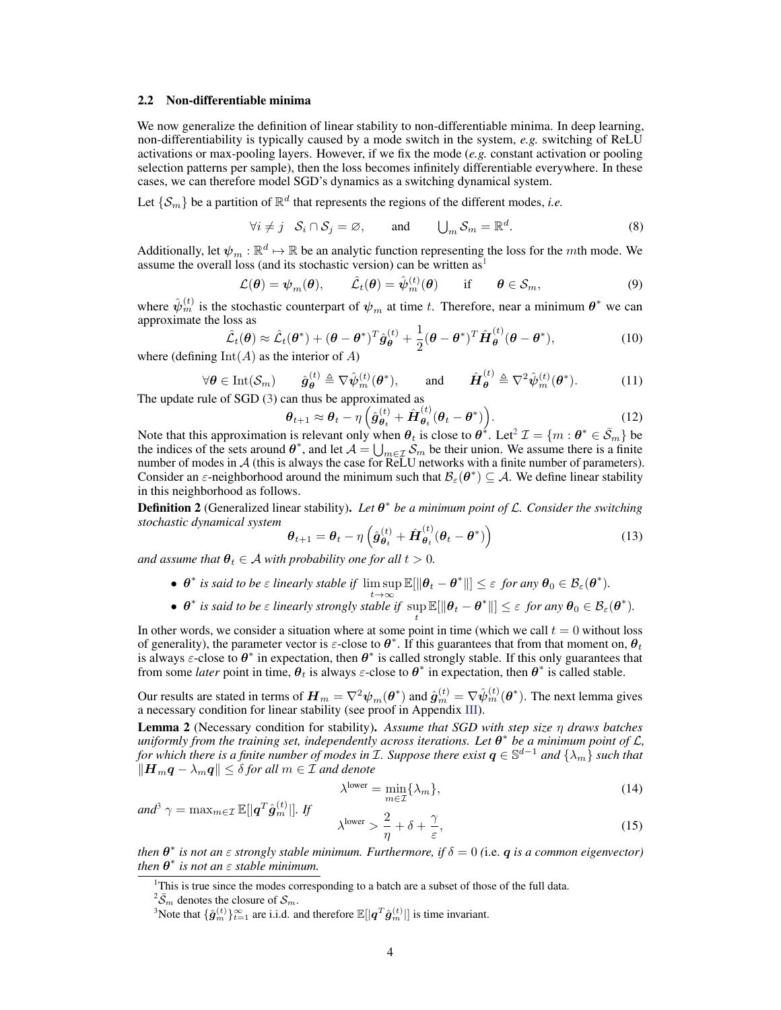#### 2.2 Non-differentiable minima

We now generalize the definition of linear stability to non-differentiable minima. In deep learning, non-differentiability is typically caused by a mode switch in the system, *e.g.* switching of ReLU activations or max-pooling layers. However, if we fix the mode (*e.g.* constant activation or pooling selection patterns per sample), then the loss becomes infinitely differentiable everywhere. In these cases, we can therefore model SGD's dynamics as a switching dynamical system.

Let  $\{\mathcal{S}_m\}$  be a partition of  $\mathbb{R}^d$  that represents the regions of the different modes, *i.e.* 

$$
\forall i \neq j \quad \mathcal{S}_i \cap \mathcal{S}_j = \varnothing, \qquad \text{and} \qquad \bigcup_m \mathcal{S}_m = \mathbb{R}^d. \tag{8}
$$

Additionally, let  $\psi_m : \mathbb{R}^d \mapsto \mathbb{R}$  be an analytic function representing the loss for the mth mode. We assume the overall loss (and its stochastic version) can be written as

$$
\mathcal{L}(\boldsymbol{\theta}) = \boldsymbol{\psi}_m(\boldsymbol{\theta}), \qquad \hat{\mathcal{L}}_t(\boldsymbol{\theta}) = \hat{\boldsymbol{\psi}}_m^{(t)}(\boldsymbol{\theta}) \qquad \text{if} \qquad \boldsymbol{\theta} \in \mathcal{S}_m,
$$
\n(9)

where  $\hat{\psi}_m^{(t)}$  is the stochastic counterpart of  $\psi_m$  at time t. Therefore, near a minimum  $\theta^*$  we can approximate the loss as

$$
\hat{\mathcal{L}}_t(\boldsymbol{\theta}) \approx \hat{\mathcal{L}}_t(\boldsymbol{\theta}^*) + (\boldsymbol{\theta} - \boldsymbol{\theta}^*)^T \hat{\boldsymbol{g}}_{\boldsymbol{\theta}}^{(t)} + \frac{1}{2} (\boldsymbol{\theta} - \boldsymbol{\theta}^*)^T \hat{\boldsymbol{H}}_{\boldsymbol{\theta}}^{(t)} (\boldsymbol{\theta} - \boldsymbol{\theta}^*),
$$
\n(10)

where (defining  $Int(A)$  as the interior of A)

$$
\forall \theta \in \text{Int}(\mathcal{S}_m) \qquad \hat{g}_{\theta}^{(t)} \triangleq \nabla \hat{\psi}_m^{(t)}(\theta^*), \qquad \text{and} \qquad \hat{H}_{\theta}^{(t)} \triangleq \nabla^2 \hat{\psi}_m^{(t)}(\theta^*). \tag{11}
$$

The update rule of SGD [\(3\)](#page-2-0) can thus be approximated as

$$
\boldsymbol{\theta}_{t+1} \approx \boldsymbol{\theta}_t - \eta \left( \hat{\boldsymbol{g}}_{\boldsymbol{\theta}_t}^{(t)} + \hat{\boldsymbol{H}}_{\boldsymbol{\theta}_t}^{(t)} (\boldsymbol{\theta}_t - \boldsymbol{\theta}^*) \right). \tag{12}
$$

Note that this approximation is relevant only when  $\theta_t$  is close to  $\theta^*$ . Let<sup>[2](#page-3-1)</sup>  $\mathcal{I} = \{m : \theta^* \in \bar{\mathcal{S}}_m\}$  be the indices of the sets around  $\theta^*$ , and let  $\mathcal{A} = \bigcup_{m \in \mathcal{I}} \mathcal{S}_m$  be their union. We assume there is a finite number of modes in A (this is always the case for ReLU networks with a finite number of parameters). Consider an  $\varepsilon$ -neighborhood around the minimum such that  $\mathcal{B}_{\varepsilon}(\theta^*) \subseteq A$ . We define linear stability in this neighborhood as follows.

<span id="page-3-3"></span>**Definition 2** (Generalized linear stability). Let  $\theta^*$  be a minimum point of L. Consider the switching *stochastic dynamical system*

$$
\boldsymbol{\theta}_{t+1} = \boldsymbol{\theta}_t - \eta \left( \hat{\boldsymbol{g}}_{\boldsymbol{\theta}_t}^{(t)} + \hat{\boldsymbol{H}}_{\boldsymbol{\theta}_t}^{(t)} (\boldsymbol{\theta}_t - \boldsymbol{\theta}^*) \right)
$$
(13)

*and assume that*  $\theta_t \in A$  *with probability one for all*  $t > 0$ *.* 

- $\theta^*$  *is said to be*  $\varepsilon$  *linearly stable if*  $\limsup_{t\to\infty} \mathbb{E}[||\theta_t \theta^*||] \leq \varepsilon$  *for any*  $\theta_0 \in \mathcal{B}_{\varepsilon}(\theta^*).$
- $\theta^*$  *is said to be*  $\varepsilon$  *linearly strongly stable if*  $\sup_t \mathbb{E}[\|\theta_t \theta^*\|] \leq \varepsilon$  *for any*  $\theta_0 \in \mathcal{B}_{\varepsilon}(\theta^*).$

In other words, we consider a situation where at some point in time (which we call  $t = 0$  without loss of generality), the parameter vector is  $\varepsilon$ -close to  $\theta^*$ . If this guarantees that from that moment on,  $\theta_t$ is always  $\varepsilon$ -close to  $\theta^*$  in expectation, then  $\theta^*$  is called strongly stable. If this only guarantees that from some *later* point in time,  $\theta_t$  is always  $\varepsilon$ -close to  $\theta^*$  in expectation, then  $\theta^*$  is called stable.

Our results are stated in terms of  $\bm{H}_m=\nabla^2\bm{\psi}_m(\bm{\theta}^*)$  and  $\hat{\bm{g}}_m^{(t)}=\nabla\hat{\bm{\psi}}_m^{(t)}(\bm{\theta}^*)$ . The next lemma gives a necessary condition for linear stability (see proof in Appendix [III\)](#page-4-0).

<span id="page-3-4"></span>Lemma 2 (Necessary condition for stability). *Assume that SGD with step size* η *draws batches uniformly from the training set, independently across iterations. Let* θ ∗ *be a minimum point of* L*,* for which there is a finite number of modes in  $I$ . Suppose there exist  $q\in\mathbb{S}^{d-1}$  and  $\{\lambda_m\}$  such that  $\|\mathbf{H}_{m}\mathbf{q} - \lambda_{m}\mathbf{q}\|$  ≤  $\delta$  *for all*  $m \in I$  *and denote* 

$$
\lambda^{\text{lower}} = \min_{m \in \mathcal{I}} \{ \lambda_m \},\tag{14}
$$

$$
and^3 \gamma = \max_{m \in \mathcal{I}} \mathbb{E}[|q^T \hat{g}_m^{(t)}|]. \quad If \qquad \lambda^{\text{lower}} > \frac{2}{\eta} + \delta + \frac{\gamma}{\varepsilon}, \tag{15}
$$

*then*  $\theta^*$  *is not an*  $\varepsilon$  *strongly stable minimum. Furthermore, if*  $\delta = 0$  (i.e.  $q$  *is a common eigenvector*) *then*  $\theta^*$  *is not an*  $\varepsilon$  *stable minimum.* 

<span id="page-3-0"></span><sup>1</sup>This is true since the modes corresponding to a batch are a subset of those of the full data.

<span id="page-3-1"></span> $^{2}\bar{S}_{m}$  denotes the closure of  $\mathcal{S}_{m}$ .

<span id="page-3-2"></span><sup>&</sup>lt;sup>3</sup>Note that  $\{\hat{\bm{g}}_m^{(t)}\}_{t=1}^{\infty}$  are i.i.d. and therefore  $\mathbb{E}[|\bm{q}^T\hat{\bm{g}}_m^{(t)}|]$  is time invariant.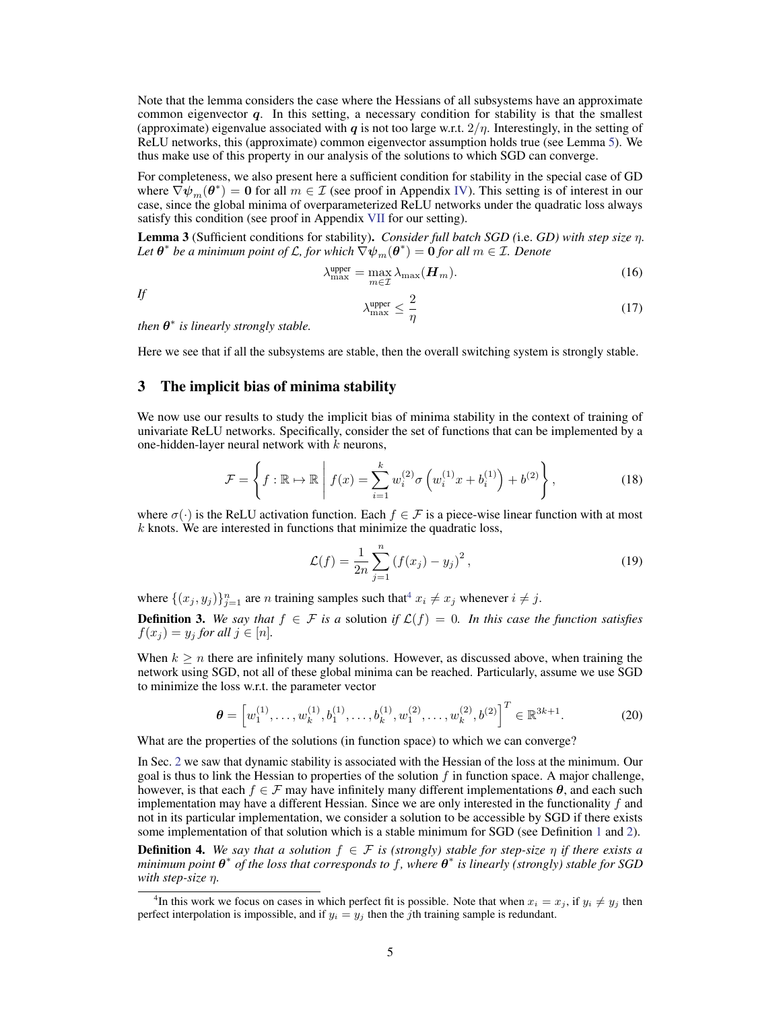Note that the lemma considers the case where the Hessians of all subsystems have an approximate common eigenvector  $q$ . In this setting, a necessary condition for stability is that the smallest (approximate) eigenvalue associated with q is not too large w.r.t.  $2/n$ . Interestingly, in the setting of ReLU networks, this (approximate) common eigenvector assumption holds true (see Lemma [5\)](#page-7-0). We thus make use of this property in our analysis of the solutions to which SGD can converge.

For completeness, we also present here a sufficient condition for stability in the special case of GD where  $\nabla \psi_m(\theta^*) = 0$  for all  $m \in \mathcal{I}$  (see proof in Appendix [IV\)](#page-5-1). This setting is of interest in our case, since the global minima of overparameterized ReLU networks under the quadratic loss always satisfy this condition (see proof in Appendix [VII](#page-9-0) for our setting).

Lemma 3 (Sufficient conditions for stability). *Consider full batch SGD (*i.e. *GD) with step size* η*.* Let  $\bm{\theta}^*$  be a minimum point of  $\mathcal L$ , for which  $\nabla\psi_m(\bm{\theta}^*)=\bm{0}$  for all  $m\in\mathcal I$ . Denote

$$
\lambda_{\max}^{\text{upper}} = \max_{m \in \mathcal{I}} \lambda_{\max}(\boldsymbol{H}_m). \tag{16}
$$

*If*

<span id="page-4-4"></span>
$$
\lambda_{\max}^{\text{upper}} \le \frac{2}{\eta} \tag{17}
$$

*then*  $\theta^*$  *is linearly strongly stable.* 

Here we see that if all the subsystems are stable, then the overall switching system is strongly stable.

## <span id="page-4-0"></span>3 The implicit bias of minima stability

We now use our results to study the implicit bias of minima stability in the context of training of univariate ReLU networks. Specifically, consider the set of functions that can be implemented by a one-hidden-layer neural network with  $k$  neurons,

$$
\mathcal{F} = \left\{ f : \mathbb{R} \to \mathbb{R} \, \middle| \, f(x) = \sum_{i=1}^{k} w_i^{(2)} \sigma \left( w_i^{(1)} x + b_i^{(1)} \right) + b^{(2)} \right\},\tag{18}
$$

where  $\sigma(\cdot)$  is the ReLU activation function. Each  $f \in \mathcal{F}$  is a piece-wise linear function with at most  $k$  knots. We are interested in functions that minimize the quadratic loss,

<span id="page-4-2"></span>
$$
\mathcal{L}(f) = \frac{1}{2n} \sum_{j=1}^{n} (f(x_j) - y_j)^2,
$$
\n(19)

where  $\{(x_j, y_j)\}_{j=1}^n$  are *n* training samples such that<sup>[4](#page-4-1)</sup>  $x_i \neq x_j$  whenever  $i \neq j$ .

**Definition 3.** We say that  $f \in \mathcal{F}$  is a solution if  $\mathcal{L}(f) = 0$ . In this case the function satisfies  $f(x_i) = y_i$  for all  $j \in [n]$ .

When  $k \geq n$  there are infinitely many solutions. However, as discussed above, when training the network using SGD, not all of these global minima can be reached. Particularly, assume we use SGD to minimize the loss w.r.t. the parameter vector

$$
\boldsymbol{\theta} = \left[w_1^{(1)}, \dots, w_k^{(1)}, b_1^{(1)}, \dots, b_k^{(1)}, w_1^{(2)}, \dots, w_k^{(2)}, b^{(2)}\right]^T \in \mathbb{R}^{3k+1}.
$$
 (20)

What are the properties of the solutions (in function space) to which we can converge?

In Sec. [2](#page-2-1) we saw that dynamic stability is associated with the Hessian of the loss at the minimum. Our goal is thus to link the Hessian to properties of the solution  $f$  in function space. A major challenge, however, is that each  $f \in \mathcal{F}$  may have infinitely many different implementations  $\theta$ , and each such implementation may have a different Hessian. Since we are only interested in the functionality  $f$  and not in its particular implementation, we consider a solution to be accessible by SGD if there exists some implementation of that solution which is a stable minimum for SGD (see Definition [1](#page-2-2) and [2\)](#page-3-3).

<span id="page-4-3"></span>**Definition 4.** We say that a solution  $f \in \mathcal{F}$  is (strongly) stable for step-size  $\eta$  if there exists a *minimum point* θ ∗ *of the loss that corresponds to* f*, where* θ ∗ *is linearly (strongly) stable for SGD with step-size* η*.*

<span id="page-4-1"></span><sup>&</sup>lt;sup>4</sup>In this work we focus on cases in which perfect fit is possible. Note that when  $x_i = x_j$ , if  $y_i \neq y_j$  then perfect interpolation is impossible, and if  $y_i = y_j$  then the jth training sample is redundant.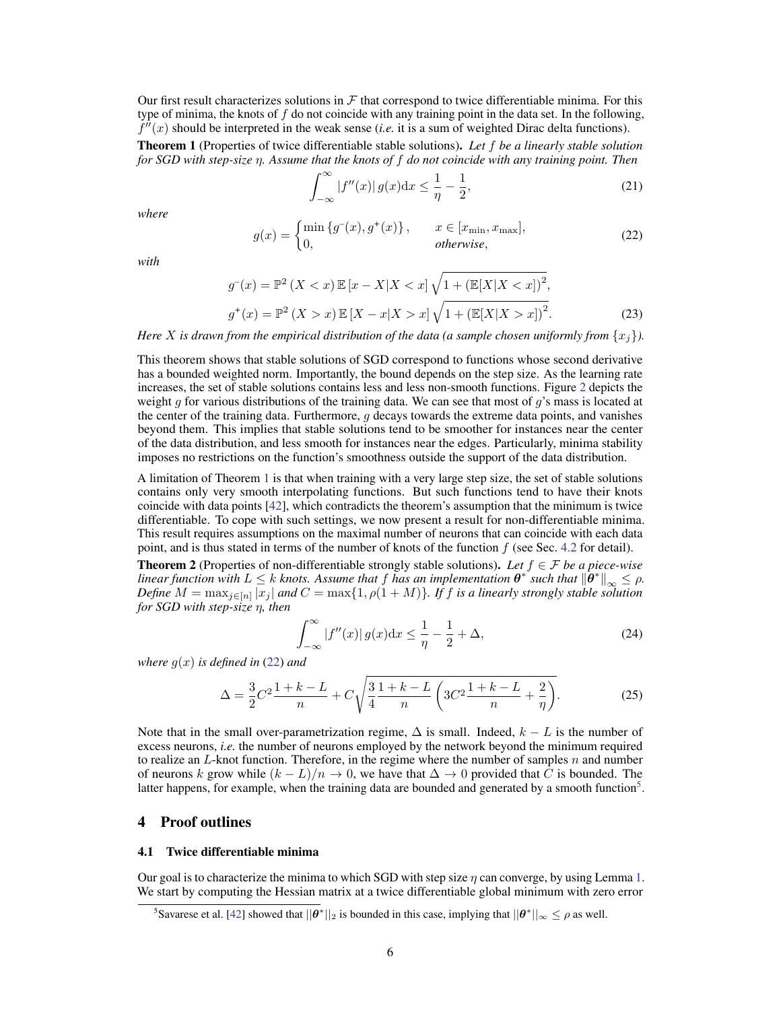Our first result characterizes solutions in  $\mathcal F$  that correspond to twice differentiable minima. For this type of minima, the knots of f do not coincide with any training point in the data set. In the following,  $f''(x)$  should be interpreted in the weak sense (*i.e.* it is a sum of weighted Dirac delta functions).

<span id="page-5-0"></span>Theorem 1 (Properties of twice differentiable stable solutions). *Let* f *be a linearly stable solution for SGD with step-size* η*. Assume that the knots of* f *do not coincide with any training point. Then*

<span id="page-5-5"></span>
$$
\int_{-\infty}^{\infty} |f''(x)| g(x) dx \le \frac{1}{\eta} - \frac{1}{2},\tag{21}
$$

<span id="page-5-2"></span>*where*

$$
g(x) = \begin{cases} \min \{g^-(x), g^+(x)\}, & x \in [x_{\min}, x_{\max}], \\ 0, & otherwise, \end{cases}
$$
(22)

*with*

$$
g^{-}(x) = \mathbb{P}^{2} (X < x) \mathbb{E} [x - X | X < x] \sqrt{1 + (\mathbb{E}[X | X < x])^{2}},
$$
  
\n
$$
g^{+}(x) = \mathbb{P}^{2} (X > x) \mathbb{E} [X - x | X > x] \sqrt{1 + (\mathbb{E}[X | X > x])^{2}}.
$$
\n(23)

*Here* X is drawn from the empirical distribution of the data (a sample chosen uniformly from  $\{x_i\}$ ).

This theorem shows that stable solutions of SGD correspond to functions whose second derivative has a bounded weighted norm. Importantly, the bound depends on the step size. As the learning rate increases, the set of stable solutions contains less and less non-smooth functions. Figure [2](#page-6-0) depicts the weight g for various distributions of the training data. We can see that most of  $g$ 's mass is located at the center of the training data. Furthermore,  $q$  decays towards the extreme data points, and vanishes beyond them. This implies that stable solutions tend to be smoother for instances near the center of the data distribution, and less smooth for instances near the edges. Particularly, minima stability imposes no restrictions on the function's smoothness outside the support of the data distribution.

A limitation of Theorem [1](#page-5-0) is that when training with a very large step size, the set of stable solutions contains only very smooth interpolating functions. But such functions tend to have their knots coincide with data points [\[42\]](#page-12-11), which contradicts the theorem's assumption that the minimum is twice differentiable. To cope with such settings, we now present a result for non-differentiable minima. This result requires assumptions on the maximal number of neurons that can coincide with each data point, and is thus stated in terms of the number of knots of the function  $f$  (see Sec. [4.2](#page-7-1) for detail).

**Theorem 2** (Properties of non-differentiable strongly stable solutions). Let  $f \in \mathcal{F}$  be a piece-wise *linear function with*  $L \leq k$  *knots. Assume that*  $f$  *has an implementation*  $\theta^*$  *such that*  $\|\theta^*\|_{\infty} \leq \rho$ . Define  $M = \max_{j \in [n]} |x_j|$  and  $C = \max\{1, \rho(1 + M)\}$ . If f is a linearly strongly stable solution *for SGD with step-size* η*, then*

<span id="page-5-4"></span>
$$
\int_{-\infty}^{\infty} |f''(x)| g(x) dx \le \frac{1}{\eta} - \frac{1}{2} + \Delta,
$$
\n(24)

*where*  $q(x)$  *is defined in* [\(22\)](#page-5-2) *and* 

$$
\Delta = \frac{3}{2}C^2 \frac{1+k-L}{n} + C\sqrt{\frac{3}{4} \frac{1+k-L}{n} \left(3C^2 \frac{1+k-L}{n} + \frac{2}{\eta}\right)}.
$$
 (25)

Note that in the small over-parametrization regime,  $\Delta$  is small. Indeed,  $k - L$  is the number of excess neurons, *i.e.* the number of neurons employed by the network beyond the minimum required to realize an  $L$ -knot function. Therefore, in the regime where the number of samples n and number of neurons k grow while  $(k - L)/n \rightarrow 0$ , we have that  $\Delta \rightarrow 0$  provided that C is bounded. The latter happens, for example, when the training data are bounded and generated by a smooth function<sup>[5](#page-5-3)</sup>.

## <span id="page-5-1"></span>4 Proof outlines

#### 4.1 Twice differentiable minima

Our goal is to characterize the minima to which SGD with step size  $\eta$  can converge, by using Lemma [1.](#page-2-3) We start by computing the Hessian matrix at a twice differentiable global minimum with zero error

<span id="page-5-3"></span><sup>&</sup>lt;sup>5</sup>Savarese et al. [\[42\]](#page-12-11) showed that  $||\theta^*||_2$  is bounded in this case, implying that  $||\theta^*||_{\infty} \le \rho$  as well.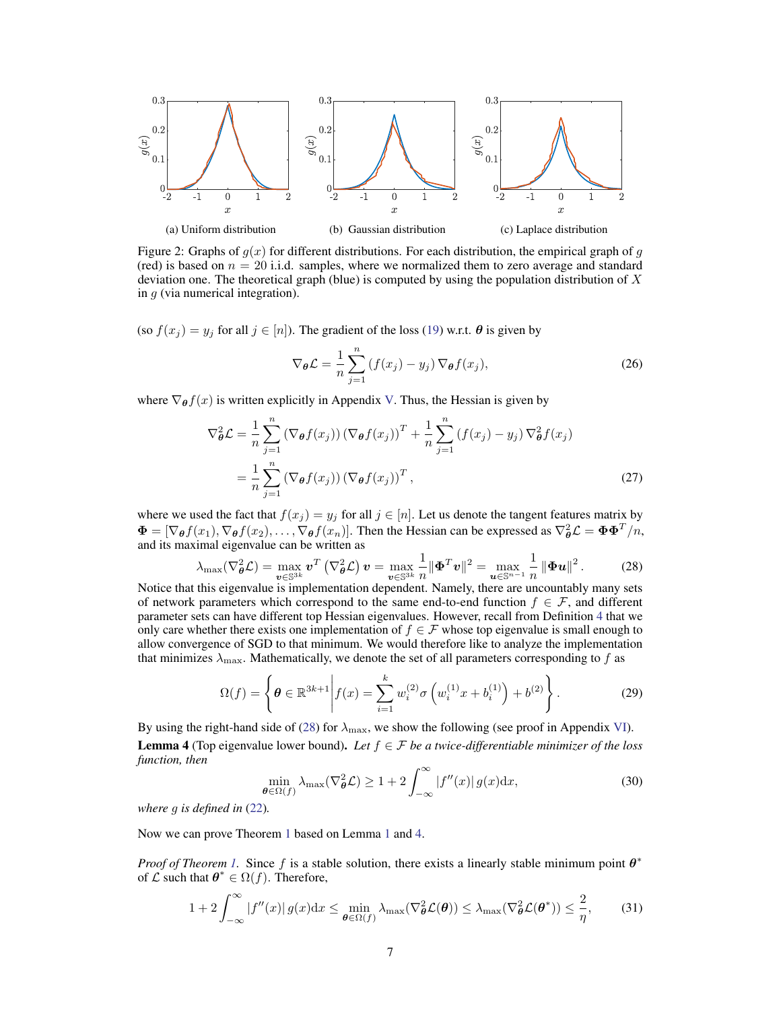<span id="page-6-0"></span>

Figure 2: Graphs of  $g(x)$  for different distributions. For each distribution, the empirical graph of g (red) is based on  $n = 20$  i.i.d. samples, where we normalized them to zero average and standard deviation one. The theoretical graph (blue) is computed by using the population distribution of  $X$ in  $g$  (via numerical integration).

(so  $f(x_j) = y_j$  for all  $j \in [n]$ ). The gradient of the loss [\(19\)](#page-4-2) w.r.t.  $\theta$  is given by

$$
\nabla_{\theta} \mathcal{L} = \frac{1}{n} \sum_{j=1}^{n} \left( f(x_j) - y_j \right) \nabla_{\theta} f(x_j), \tag{26}
$$

where  $\nabla_{\theta} f(x)$  is written explicitly in Appendix [V.](#page-8-0) Thus, the Hessian is given by

$$
\nabla_{\theta}^{2} \mathcal{L} = \frac{1}{n} \sum_{j=1}^{n} \left( \nabla_{\theta} f(x_{j}) \right) \left( \nabla_{\theta} f(x_{j}) \right)^{T} + \frac{1}{n} \sum_{j=1}^{n} \left( f(x_{j}) - y_{j} \right) \nabla_{\theta}^{2} f(x_{j})
$$

$$
= \frac{1}{n} \sum_{j=1}^{n} \left( \nabla_{\theta} f(x_{j}) \right) \left( \nabla_{\theta} f(x_{j}) \right)^{T}, \tag{27}
$$

where we used the fact that  $f(x_j) = y_j$  for all  $j \in [n]$ . Let us denote the tangent features matrix by  $\Phi = [\nabla_{\theta} f(x_1), \nabla_{\theta} f(x_2), \dots, \nabla_{\theta} f(x_n)]$ . Then the Hessian can be expressed as  $\nabla_{\theta}^2 \mathcal{L} = \Phi \Phi^T/n$ , and its maximal eigenvalue can be written as

<span id="page-6-1"></span>
$$
\lambda_{\max}(\nabla_{\boldsymbol{\theta}}^2 \mathcal{L}) = \max_{\boldsymbol{v} \in \mathbb{S}^{3k}} \boldsymbol{v}^T \left( \nabla_{\boldsymbol{\theta}}^2 \mathcal{L} \right) \boldsymbol{v} = \max_{\boldsymbol{v} \in \mathbb{S}^{3k}} \frac{1}{n} \|\boldsymbol{\Phi}^T \boldsymbol{v}\|^2 = \max_{\boldsymbol{u} \in \mathbb{S}^{n-1}} \frac{1}{n} \|\boldsymbol{\Phi} \boldsymbol{u}\|^2. \tag{28}
$$

Notice that this eigenvalue is implementation dependent. Namely, there are uncountably many sets of network parameters which correspond to the same end-to-end function  $f \in \mathcal{F}$ , and different parameter sets can have different top Hessian eigenvalues. However, recall from Definition [4](#page-4-3) that we only care whether there exists one implementation of  $f \in \mathcal{F}$  whose top eigenvalue is small enough to allow convergence of SGD to that minimum. We would therefore like to analyze the implementation that minimizes  $\lambda_{\text{max}}$ . Mathematically, we denote the set of all parameters corresponding to f as

$$
\Omega(f) = \left\{ \theta \in \mathbb{R}^{3k+1} \middle| f(x) = \sum_{i=1}^{k} w_i^{(2)} \sigma \left( w_i^{(1)} x + b_i^{(1)} \right) + b^{(2)} \right\}.
$$
 (29)

<span id="page-6-2"></span>By using the right-hand side of [\(28\)](#page-6-1) for  $\lambda_{\text{max}}$ , we show the following (see proof in Appendix [VI\)](#page-9-1). **Lemma 4** (Top eigenvalue lower bound). Let  $f \in \mathcal{F}$  *be a twice-differentiable minimizer of the loss function, then*

<span id="page-6-3"></span>
$$
\min_{\theta \in \Omega(f)} \lambda_{\max}(\nabla_{\theta}^{2} \mathcal{L}) \ge 1 + 2 \int_{-\infty}^{\infty} |f''(x)| g(x) dx,
$$
\n(30)

*where* g *is defined in* [\(22\)](#page-5-2)*.*

Now we can prove Theorem [1](#page-5-0) based on Lemma [1](#page-2-3) and [4.](#page-6-2)

*Proof of Theorem [1.](#page-5-0)* Since f is a stable solution, there exists a linearly stable minimum point  $\theta^*$ of  $\mathcal{L}$  such that  $\theta^* \in \Omega(f)$ . Therefore,

$$
1 + 2\int_{-\infty}^{\infty} |f''(x)| g(x) dx \le \min_{\theta \in \Omega(f)} \lambda_{\max}(\nabla_{\theta}^2 \mathcal{L}(\theta)) \le \lambda_{\max}(\nabla_{\theta}^2 \mathcal{L}(\theta^*)) \le \frac{2}{\eta},\tag{31}
$$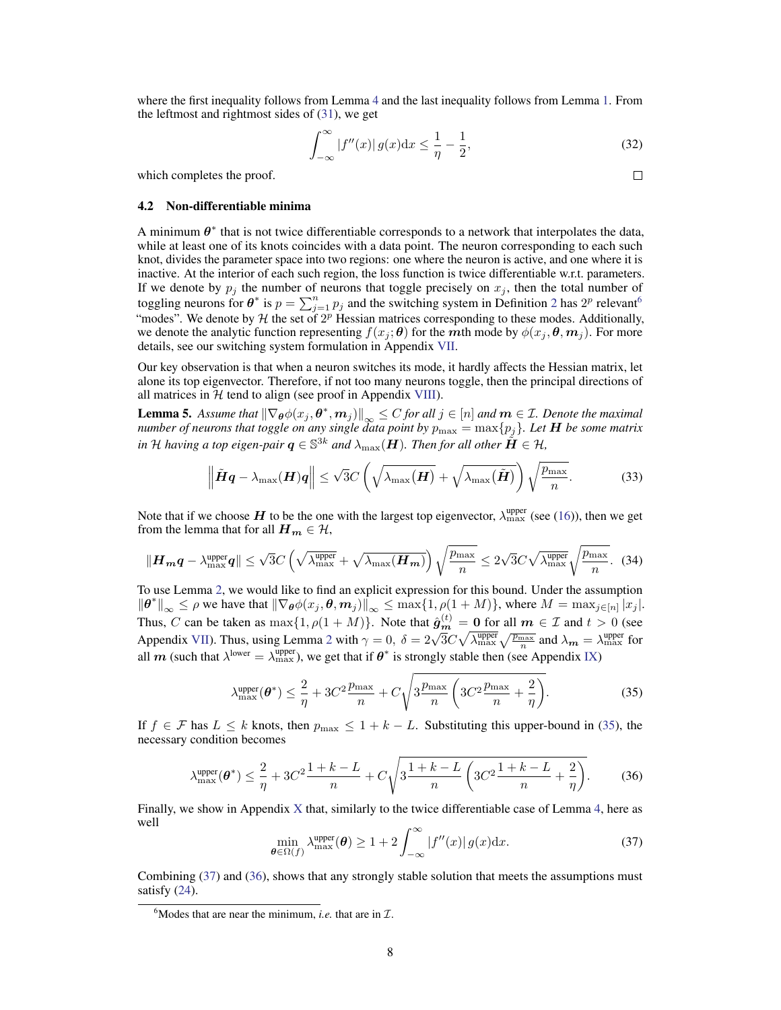where the first inequality follows from Lemma [4](#page-6-2) and the last inequality follows from Lemma [1.](#page-2-3) From the leftmost and rightmost sides of [\(31\)](#page-6-3), we get

$$
\int_{-\infty}^{\infty} |f''(x)| g(x) dx \le \frac{1}{\eta} - \frac{1}{2},\tag{32}
$$

which completes the proof.

#### <span id="page-7-1"></span>4.2 Non-differentiable minima

A minimum  $\theta^*$  that is not twice differentiable corresponds to a network that interpolates the data, while at least one of its knots coincides with a data point. The neuron corresponding to each such knot, divides the parameter space into two regions: one where the neuron is active, and one where it is inactive. At the interior of each such region, the loss function is twice differentiable w.r.t. parameters. If we denote by  $p_j$  the number of neurons that toggle precisely on  $x_j$ , then the total number of toggling neurons for  $\theta^*$  is  $p = \sum_{j=1}^n p_j$  and the switching system in Definition [2](#page-3-3) has  $2^p$  relevant<sup>[6](#page-7-2)</sup> "modes". We denote by  $H$  the set of  $2^p$  Hessian matrices corresponding to these modes. Additionally, we denote the analytic function representing  $f(x_i; \theta)$  for the mth mode by  $\phi(x_i, \theta, m_i)$ . For more details, see our switching system formulation in Appendix [VII.](#page-9-0)

Our key observation is that when a neuron switches its mode, it hardly affects the Hessian matrix, let alone its top eigenvector. Therefore, if not too many neurons toggle, then the principal directions of all matrices in  $H$  tend to align (see proof in Appendix VIII).

<span id="page-7-0"></span>**Lemma 5.** Assume that  $\|\nabla_{\theta}\phi(x_j, \theta^*, m_j)\|_{\infty} \leq C$  for all  $j \in [n]$  and  $m \in \mathcal{I}$ . Denote the maximal *number of neurons that toggle on any single data point by*  $p_{\text{max}} = \max\{p_j\}$ . Let **H** be some matrix in  ${\cal H}$  having a top eigen-pair  $\bm{q}\in\mathbb{S}^{3k}$  and  $\lambda_{\max}(\bm{H})$ . Then for all other  $\tilde{\bm{H}}\in\mathcal{H}$ ,

$$
\left\| \tilde{\boldsymbol{H}} \boldsymbol{q} - \lambda_{\max}(\boldsymbol{H}) \boldsymbol{q} \right\| \leq \sqrt{3} C \left( \sqrt{\lambda_{\max}(\boldsymbol{H})} + \sqrt{\lambda_{\max}(\tilde{\boldsymbol{H}})} \right) \sqrt{\frac{p_{\max}}{n}}.
$$
 (33)

Note that if we choose H to be the one with the largest top eigenvector,  $\lambda_{\rm max}^{\rm upper}$  (see [\(16\)](#page-4-4)), then we get from the lemma that for all  $H_m \in \mathcal{H}$ ,

$$
\|\boldsymbol{H}_{\boldsymbol{m}}\boldsymbol{q} - \lambda_{\max}^{\text{upper}}\boldsymbol{q}\| \leq \sqrt{3}C\left(\sqrt{\lambda_{\max}^{\text{upper}}} + \sqrt{\lambda_{\max}(\boldsymbol{H}_{\boldsymbol{m}})}\right)\sqrt{\frac{p_{\max}}{n}} \leq 2\sqrt{3}C\sqrt{\lambda_{\max}^{\text{upper}}}\sqrt{\frac{p_{\max}}{n}}.\tag{34}
$$

To use Lemma [2,](#page-3-4) we would like to find an explicit expression for this bound. Under the assumption  $\|\theta^*\|_{\infty} \leq \rho$  we have that  $\|\nabla_{\theta}\phi(x_j, \theta, m_j)\|_{\infty} \leq \max\{1, \rho(1+M)\}\)$ , where  $M = \max_{j \in [n]} |x_j|$ . Thus, C can be taken as  $\max\{1, \rho(1+M)\}\$ . Note that  $\hat{\mathbf{g}}_{m}^{(t)} = \mathbf{0}$  for all  $m \in \mathcal{I}$  and  $t > 0$  (see Appendix [VII\)](#page-9-0). Thus, using Lemma [2](#page-3-4) with  $\gamma = 0$ ,  $\delta = 2\sqrt{3}C\sqrt{\lambda_{\text{max}}^{\text{upper}}} \sqrt{\frac{p_{\text{max}}}{n}}$  and  $\lambda_m = \lambda_{\text{max}}^{\text{upper}}$  for all m (such that  $\lambda^{\text{lower}} = \lambda^{\text{upper}}_{\text{max}}$ ), we get that if  $\theta^*$  is strongly stable then (see Appendix IX)

<span id="page-7-5"></span><span id="page-7-3"></span>
$$
\lambda_{\max}^{\text{upper}}(\boldsymbol{\theta}^*) \le \frac{2}{\eta} + 3C^2 \frac{p_{\max}}{n} + C \sqrt{3 \frac{p_{\max}}{n} \left( 3C^2 \frac{p_{\max}}{n} + \frac{2}{\eta} \right)}.
$$
 (35)

If  $f \in \mathcal{F}$  has  $L \leq k$  knots, then  $p_{\text{max}} \leq 1 + k - L$ . Substituting this upper-bound in [\(35\)](#page-7-3), the necessary condition becomes

$$
\lambda_{\max}^{\text{upper}}(\theta^*) \le \frac{2}{\eta} + 3C^2 \frac{1+k-L}{n} + C\sqrt{3 \frac{1+k-L}{n} \left(3C^2 \frac{1+k-L}{n} + \frac{2}{\eta}\right)}. \tag{36}
$$

<span id="page-7-4"></span>Finally, we show in Appendix X that, similarly to the twice differentiable case of Lemma [4,](#page-6-2) here as well

$$
\min_{\boldsymbol{\theta} \in \Omega(f)} \lambda_{\max}^{\text{upper}}(\boldsymbol{\theta}) \ge 1 + 2 \int_{-\infty}^{\infty} |f''(x)| g(x) dx.
$$
 (37)

Combining [\(37\)](#page-7-4) and [\(36\)](#page-7-5), shows that any strongly stable solution that meets the assumptions must satisfy [\(24\)](#page-5-4).

 $\Box$ 

<span id="page-7-2"></span><sup>&</sup>lt;sup>6</sup>Modes that are near the minimum, *i.e.* that are in  $\mathcal{I}$ .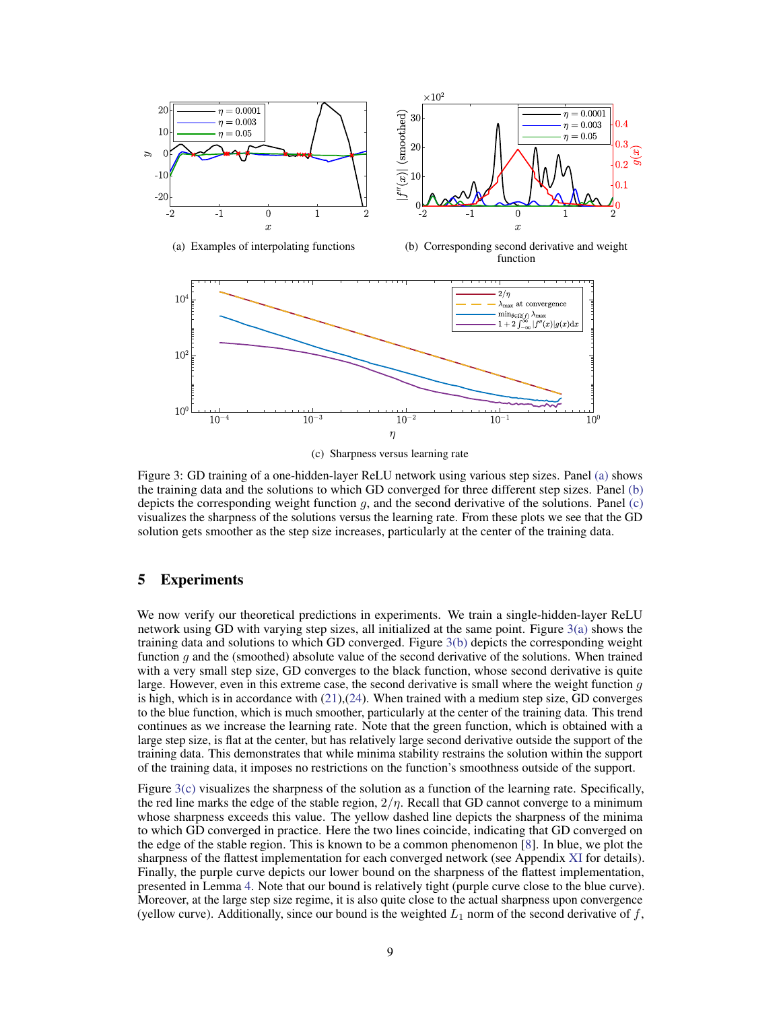<span id="page-8-1"></span>

(c) Sharpness versus learning rate

Figure 3: GD training of a one-hidden-layer ReLU network using various step sizes. Panel [\(a\)](#page-8-1) shows the training data and the solutions to which GD converged for three different step sizes. Panel [\(b\)](#page-8-1) depicts the corresponding weight function  $g$ , and the second derivative of the solutions. Panel [\(c\)](#page-8-1) visualizes the sharpness of the solutions versus the learning rate. From these plots we see that the GD solution gets smoother as the step size increases, particularly at the center of the training data.

## <span id="page-8-0"></span>5 Experiments

We now verify our theoretical predictions in experiments. We train a single-hidden-layer ReLU network using GD with varying step sizes, all initialized at the same point. Figure  $3(a)$  shows the training data and solutions to which GD converged. Figure [3\(b\)](#page-8-1) depicts the corresponding weight function  $q$  and the (smoothed) absolute value of the second derivative of the solutions. When trained with a very small step size, GD converges to the black function, whose second derivative is quite large. However, even in this extreme case, the second derivative is small where the weight function  $g$ is high, which is in accordance with [\(21\)](#page-5-5),[\(24\)](#page-5-4). When trained with a medium step size, GD converges to the blue function, which is much smoother, particularly at the center of the training data. This trend continues as we increase the learning rate. Note that the green function, which is obtained with a large step size, is flat at the center, but has relatively large second derivative outside the support of the training data. This demonstrates that while minima stability restrains the solution within the support of the training data, it imposes no restrictions on the function's smoothness outside of the support.

Figure  $3(c)$  visualizes the sharpness of the solution as a function of the learning rate. Specifically, the red line marks the edge of the stable region,  $2/\eta$ . Recall that GD cannot converge to a minimum whose sharpness exceeds this value. The yellow dashed line depicts the sharpness of the minima to which GD converged in practice. Here the two lines coincide, indicating that GD converged on the edge of the stable region. This is known to be a common phenomenon [\[8\]](#page-10-3). In blue, we plot the sharpness of the flattest implementation for each converged network (see Appendix XI for details). Finally, the purple curve depicts our lower bound on the sharpness of the flattest implementation, presented in Lemma [4.](#page-6-2) Note that our bound is relatively tight (purple curve close to the blue curve). Moreover, at the large step size regime, it is also quite close to the actual sharpness upon convergence (yellow curve). Additionally, since our bound is the weighted  $L_1$  norm of the second derivative of f,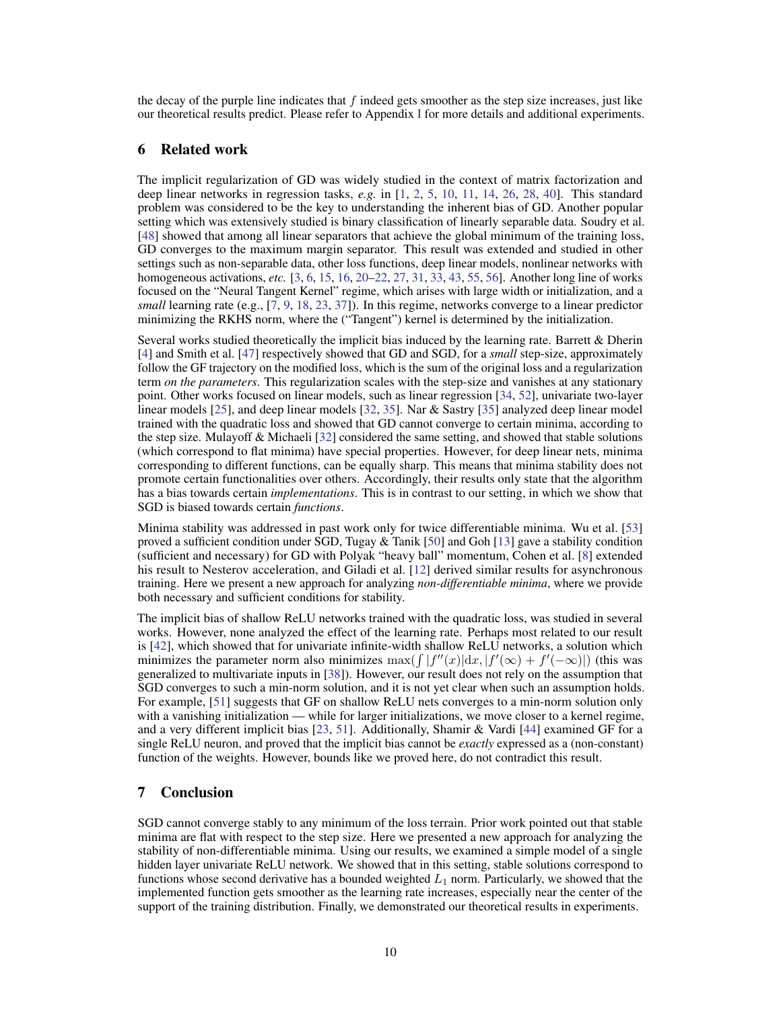the decay of the purple line indicates that  $f$  indeed gets smoother as the step size increases, just like our theoretical results predict. Please refer to Appendix [I](#page-0-0) for more details and additional experiments.

# <span id="page-9-1"></span>6 Related work

The implicit regularization of GD was widely studied in the context of matrix factorization and deep linear networks in regression tasks, *e.g.* in [\[1,](#page-10-4) [2,](#page-10-5) [5,](#page-10-6) [10,](#page-10-7) [11,](#page-10-8) [14,](#page-10-1) [26,](#page-11-2) [28,](#page-11-8) [40\]](#page-12-5). This standard problem was considered to be the key to understanding the inherent bias of GD. Another popular setting which was extensively studied is binary classification of linearly separable data. Soudry et al. [\[48\]](#page-12-2) showed that among all linear separators that achieve the global minimum of the training loss, GD converges to the maximum margin separator. This result was extended and studied in other settings such as non-separable data, other loss functions, deep linear models, nonlinear networks with homogeneous activations, *etc.* [\[3,](#page-10-9) [6,](#page-10-10) [15,](#page-10-2) [16,](#page-10-0) [20–](#page-11-9)[22,](#page-11-10) [27,](#page-11-11) [31,](#page-11-12) [33,](#page-11-13) [43,](#page-12-13) [55,](#page-12-14) [56\]](#page-12-15). Another long line of works focused on the "Neural Tangent Kernel" regime, which arises with large width or initialization, and a *small* learning rate (e.g., [\[7,](#page-10-11) [9,](#page-10-12) [18,](#page-11-14) [23,](#page-11-7) [37\]](#page-12-16)). In this regime, networks converge to a linear predictor minimizing the RKHS norm, where the ("Tangent") kernel is determined by the initialization.

Several works studied theoretically the implicit bias induced by the learning rate. Barrett & Dherin [\[4\]](#page-10-13) and Smith et al. [\[47\]](#page-12-17) respectively showed that GD and SGD, for a *small* step-size, approximately follow the GF trajectory on the modified loss, which is the sum of the original loss and a regularization term *on the parameters*. This regularization scales with the step-size and vanishes at any stationary point. Other works focused on linear models, such as linear regression [\[34,](#page-11-15) [52\]](#page-12-18), univariate two-layer linear models [\[25\]](#page-11-16), and deep linear models [\[32,](#page-11-17) [35\]](#page-11-18). Nar & Sastry [\[35\]](#page-11-18) analyzed deep linear model trained with the quadratic loss and showed that GD cannot converge to certain minima, according to the step size. Mulayoff & Michaeli [\[32\]](#page-11-17) considered the same setting, and showed that stable solutions (which correspond to flat minima) have special properties. However, for deep linear nets, minima corresponding to different functions, can be equally sharp. This means that minima stability does not promote certain functionalities over others. Accordingly, their results only state that the algorithm has a bias towards certain *implementations*. This is in contrast to our setting, in which we show that SGD is biased towards certain *functions*.

Minima stability was addressed in past work only for twice differentiable minima. Wu et al. [\[53\]](#page-12-10) proved a sufficient condition under SGD, Tugay  $&$  Tanik [\[50\]](#page-12-19) and Goh [\[13\]](#page-10-14) gave a stability condition (sufficient and necessary) for GD with Polyak "heavy ball" momentum, Cohen et al. [\[8\]](#page-10-3) extended his result to Nesterov acceleration, and Giladi et al. [\[12\]](#page-10-15) derived similar results for asynchronous training. Here we present a new approach for analyzing *non-differentiable minima*, where we provide both necessary and sufficient conditions for stability.

The implicit bias of shallow ReLU networks trained with the quadratic loss, was studied in several works. However, none analyzed the effect of the learning rate. Perhaps most related to our result is [\[42\]](#page-12-11), which showed that for univariate infinite-width shallow ReLU networks, a solution which minimizes the parameter norm also minimizes  $\max(\int |f''(x)| dx, |f'(\infty) + f'(-\infty)|)$  (this was generalized to multivariate inputs in [\[38\]](#page-12-20)). However, our result does not rely on the assumption that SGD converges to such a min-norm solution, and it is not yet clear when such an assumption holds. For example, [\[51\]](#page-12-12) suggests that GF on shallow ReLU nets converges to a min-norm solution only with a vanishing initialization — while for larger initializations, we move closer to a kernel regime, and a very different implicit bias [\[23,](#page-11-7) [51\]](#page-12-12). Additionally, Shamir & Vardi [\[44\]](#page-12-6) examined GF for a single ReLU neuron, and proved that the implicit bias cannot be *exactly* expressed as a (non-constant) function of the weights. However, bounds like we proved here, do not contradict this result.

# <span id="page-9-0"></span>7 Conclusion

SGD cannot converge stably to any minimum of the loss terrain. Prior work pointed out that stable minima are flat with respect to the step size. Here we presented a new approach for analyzing the stability of non-differentiable minima. Using our results, we examined a simple model of a single hidden layer univariate ReLU network. We showed that in this setting, stable solutions correspond to functions whose second derivative has a bounded weighted  $L_1$  norm. Particularly, we showed that the implemented function gets smoother as the learning rate increases, especially near the center of the support of the training distribution. Finally, we demonstrated our theoretical results in experiments.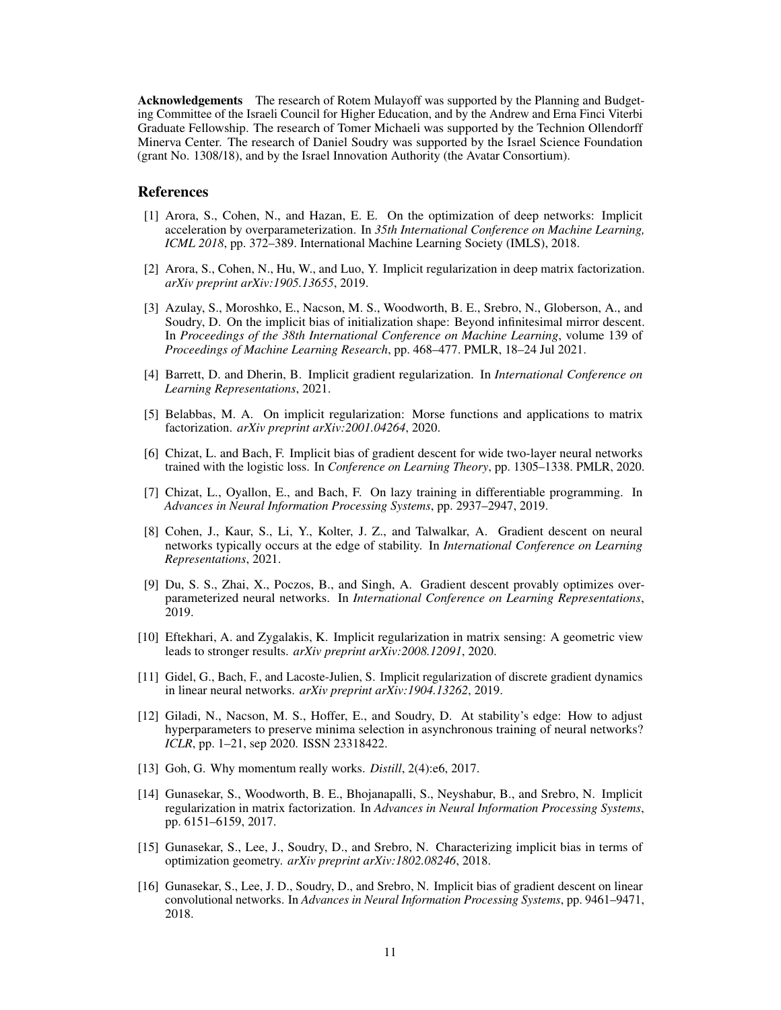Acknowledgements The research of Rotem Mulayoff was supported by the Planning and Budgeting Committee of the Israeli Council for Higher Education, and by the Andrew and Erna Finci Viterbi Graduate Fellowship. The research of Tomer Michaeli was supported by the Technion Ollendorff Minerva Center. The research of Daniel Soudry was supported by the Israel Science Foundation (grant No. 1308/18), and by the Israel Innovation Authority (the Avatar Consortium).

#### References

- <span id="page-10-4"></span>[1] Arora, S., Cohen, N., and Hazan, E. E. On the optimization of deep networks: Implicit acceleration by overparameterization. In *35th International Conference on Machine Learning, ICML 2018*, pp. 372–389. International Machine Learning Society (IMLS), 2018.
- <span id="page-10-5"></span>[2] Arora, S., Cohen, N., Hu, W., and Luo, Y. Implicit regularization in deep matrix factorization. *arXiv preprint arXiv:1905.13655*, 2019.
- <span id="page-10-9"></span>[3] Azulay, S., Moroshko, E., Nacson, M. S., Woodworth, B. E., Srebro, N., Globerson, A., and Soudry, D. On the implicit bias of initialization shape: Beyond infinitesimal mirror descent. In *Proceedings of the 38th International Conference on Machine Learning*, volume 139 of *Proceedings of Machine Learning Research*, pp. 468–477. PMLR, 18–24 Jul 2021.
- <span id="page-10-13"></span>[4] Barrett, D. and Dherin, B. Implicit gradient regularization. In *International Conference on Learning Representations*, 2021.
- <span id="page-10-6"></span>[5] Belabbas, M. A. On implicit regularization: Morse functions and applications to matrix factorization. *arXiv preprint arXiv:2001.04264*, 2020.
- <span id="page-10-10"></span>[6] Chizat, L. and Bach, F. Implicit bias of gradient descent for wide two-layer neural networks trained with the logistic loss. In *Conference on Learning Theory*, pp. 1305–1338. PMLR, 2020.
- <span id="page-10-11"></span>[7] Chizat, L., Oyallon, E., and Bach, F. On lazy training in differentiable programming. In *Advances in Neural Information Processing Systems*, pp. 2937–2947, 2019.
- <span id="page-10-3"></span>[8] Cohen, J., Kaur, S., Li, Y., Kolter, J. Z., and Talwalkar, A. Gradient descent on neural networks typically occurs at the edge of stability. In *International Conference on Learning Representations*, 2021.
- <span id="page-10-12"></span>[9] Du, S. S., Zhai, X., Poczos, B., and Singh, A. Gradient descent provably optimizes overparameterized neural networks. In *International Conference on Learning Representations*, 2019.
- <span id="page-10-7"></span>[10] Eftekhari, A. and Zygalakis, K. Implicit regularization in matrix sensing: A geometric view leads to stronger results. *arXiv preprint arXiv:2008.12091*, 2020.
- <span id="page-10-8"></span>[11] Gidel, G., Bach, F., and Lacoste-Julien, S. Implicit regularization of discrete gradient dynamics in linear neural networks. *arXiv preprint arXiv:1904.13262*, 2019.
- <span id="page-10-15"></span>[12] Giladi, N., Nacson, M. S., Hoffer, E., and Soudry, D. At stability's edge: How to adjust hyperparameters to preserve minima selection in asynchronous training of neural networks? *ICLR*, pp. 1–21, sep 2020. ISSN 23318422.
- <span id="page-10-14"></span>[13] Goh, G. Why momentum really works. *Distill*, 2(4):e6, 2017.
- <span id="page-10-1"></span>[14] Gunasekar, S., Woodworth, B. E., Bhojanapalli, S., Neyshabur, B., and Srebro, N. Implicit regularization in matrix factorization. In *Advances in Neural Information Processing Systems*, pp. 6151–6159, 2017.
- <span id="page-10-2"></span>[15] Gunasekar, S., Lee, J., Soudry, D., and Srebro, N. Characterizing implicit bias in terms of optimization geometry. *arXiv preprint arXiv:1802.08246*, 2018.
- <span id="page-10-0"></span>[16] Gunasekar, S., Lee, J. D., Soudry, D., and Srebro, N. Implicit bias of gradient descent on linear convolutional networks. In *Advances in Neural Information Processing Systems*, pp. 9461–9471, 2018.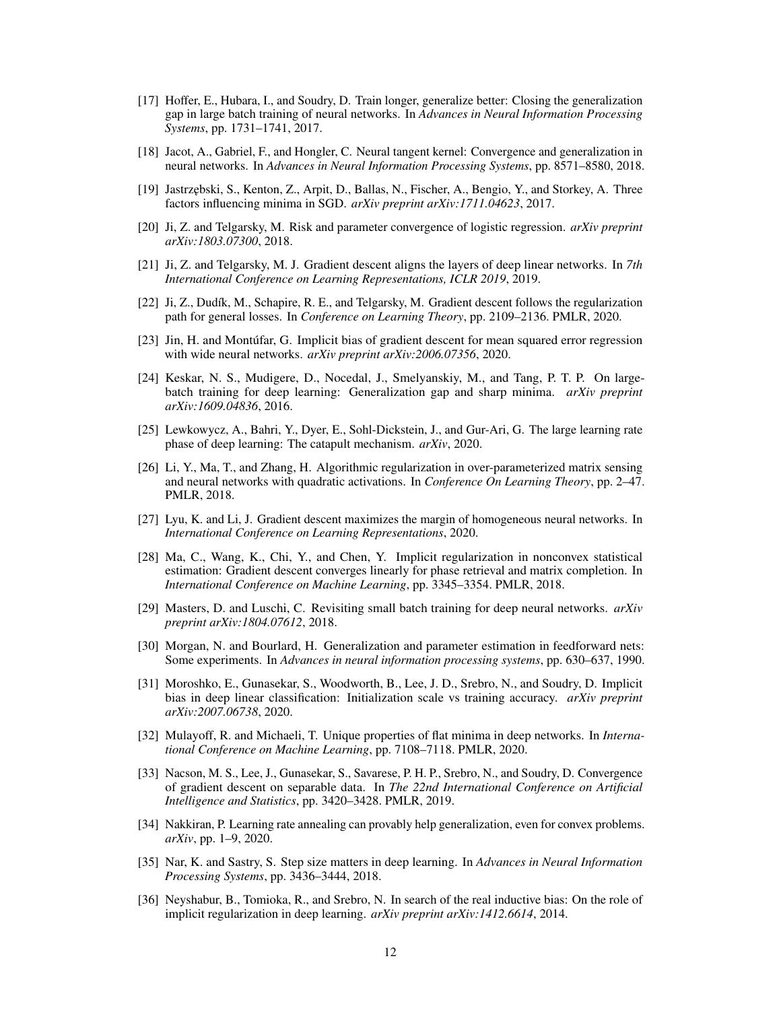- <span id="page-11-3"></span>[17] Hoffer, E., Hubara, I., and Soudry, D. Train longer, generalize better: Closing the generalization gap in large batch training of neural networks. In *Advances in Neural Information Processing Systems*, pp. 1731–1741, 2017.
- <span id="page-11-14"></span>[18] Jacot, A., Gabriel, F., and Hongler, C. Neural tangent kernel: Convergence and generalization in neural networks. In *Advances in Neural Information Processing Systems*, pp. 8571–8580, 2018.
- <span id="page-11-4"></span>[19] Jastrz˛ebski, S., Kenton, Z., Arpit, D., Ballas, N., Fischer, A., Bengio, Y., and Storkey, A. Three factors influencing minima in SGD. *arXiv preprint arXiv:1711.04623*, 2017.
- <span id="page-11-9"></span>[20] Ji, Z. and Telgarsky, M. Risk and parameter convergence of logistic regression. *arXiv preprint arXiv:1803.07300*, 2018.
- [21] Ji, Z. and Telgarsky, M. J. Gradient descent aligns the layers of deep linear networks. In *7th International Conference on Learning Representations, ICLR 2019*, 2019.
- <span id="page-11-10"></span>[22] Ji, Z., Dudík, M., Schapire, R. E., and Telgarsky, M. Gradient descent follows the regularization path for general losses. In *Conference on Learning Theory*, pp. 2109–2136. PMLR, 2020.
- <span id="page-11-7"></span>[23] Jin, H. and Montúfar, G. Implicit bias of gradient descent for mean squared error regression with wide neural networks. *arXiv preprint arXiv:2006.07356*, 2020.
- <span id="page-11-5"></span>[24] Keskar, N. S., Mudigere, D., Nocedal, J., Smelyanskiy, M., and Tang, P. T. P. On largebatch training for deep learning: Generalization gap and sharp minima. *arXiv preprint arXiv:1609.04836*, 2016.
- <span id="page-11-16"></span>[25] Lewkowycz, A., Bahri, Y., Dyer, E., Sohl-Dickstein, J., and Gur-Ari, G. The large learning rate phase of deep learning: The catapult mechanism. *arXiv*, 2020.
- <span id="page-11-2"></span>[26] Li, Y., Ma, T., and Zhang, H. Algorithmic regularization in over-parameterized matrix sensing and neural networks with quadratic activations. In *Conference On Learning Theory*, pp. 2–47. PMLR, 2018.
- <span id="page-11-11"></span>[27] Lyu, K. and Li, J. Gradient descent maximizes the margin of homogeneous neural networks. In *International Conference on Learning Representations*, 2020.
- <span id="page-11-8"></span>[28] Ma, C., Wang, K., Chi, Y., and Chen, Y. Implicit regularization in nonconvex statistical estimation: Gradient descent converges linearly for phase retrieval and matrix completion. In *International Conference on Machine Learning*, pp. 3345–3354. PMLR, 2018.
- <span id="page-11-6"></span>[29] Masters, D. and Luschi, C. Revisiting small batch training for deep neural networks. *arXiv preprint arXiv:1804.07612*, 2018.
- <span id="page-11-0"></span>[30] Morgan, N. and Bourlard, H. Generalization and parameter estimation in feedforward nets: Some experiments. In *Advances in neural information processing systems*, pp. 630–637, 1990.
- <span id="page-11-12"></span>[31] Moroshko, E., Gunasekar, S., Woodworth, B., Lee, J. D., Srebro, N., and Soudry, D. Implicit bias in deep linear classification: Initialization scale vs training accuracy. *arXiv preprint arXiv:2007.06738*, 2020.
- <span id="page-11-17"></span>[32] Mulayoff, R. and Michaeli, T. Unique properties of flat minima in deep networks. In *International Conference on Machine Learning*, pp. 7108–7118. PMLR, 2020.
- <span id="page-11-13"></span>[33] Nacson, M. S., Lee, J., Gunasekar, S., Savarese, P. H. P., Srebro, N., and Soudry, D. Convergence of gradient descent on separable data. In *The 22nd International Conference on Artificial Intelligence and Statistics*, pp. 3420–3428. PMLR, 2019.
- <span id="page-11-15"></span>[34] Nakkiran, P. Learning rate annealing can provably help generalization, even for convex problems. *arXiv*, pp. 1–9, 2020.
- <span id="page-11-18"></span>[35] Nar, K. and Sastry, S. Step size matters in deep learning. In *Advances in Neural Information Processing Systems*, pp. 3436–3444, 2018.
- <span id="page-11-1"></span>[36] Neyshabur, B., Tomioka, R., and Srebro, N. In search of the real inductive bias: On the role of implicit regularization in deep learning. *arXiv preprint arXiv:1412.6614*, 2014.